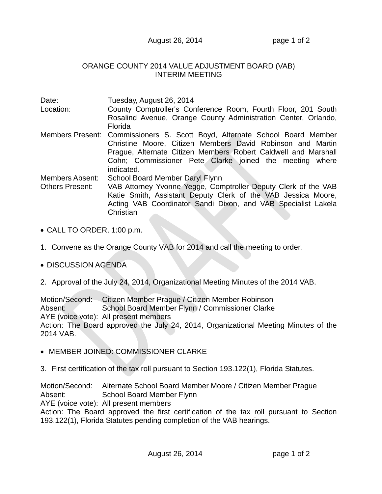## August 26, 2014 **page 1 of 2**

## ORANGE COUNTY 2014 VALUE ADJUSTMENT BOARD (VAB) INTERIM MEETING

| Date:<br>Location:                               | Tuesday, August 26, 2014<br>County Comptroller's Conference Room, Fourth Floor, 201 South<br>Rosalind Avenue, Orange County Administration Center, Orlando,<br>Florida                                                                                                               |
|--------------------------------------------------|--------------------------------------------------------------------------------------------------------------------------------------------------------------------------------------------------------------------------------------------------------------------------------------|
|                                                  | Members Present: Commissioners S. Scott Boyd, Alternate School Board Member<br>Christine Moore, Citizen Members David Robinson and Martin<br>Prague, Alternate Citizen Members Robert Caldwell and Marshall<br>Cohn; Commissioner Pete Clarke joined the meeting where<br>indicated. |
| <b>Members Absent:</b><br><b>Others Present:</b> | School Board Member Daryl Flynn<br>VAB Attorney Yvonne Yegge, Comptroller Deputy Clerk of the VAB<br>Katie Smith, Assistant Deputy Clerk of the VAB Jessica Moore,<br>Acting VAB Coordinator Sandi Dixon, and VAB Specialist Lakela<br>Christian                                     |

- CALL TO ORDER, 1:00 p.m.
- 1. Convene as the Orange County VAB for 2014 and call the meeting to order.
- DISCUSSION AGENDA
- 2. Approval of the July 24, 2014, Organizational Meeting Minutes of the 2014 VAB.

Motion/Second: Citizen Member Prague / Citizen Member Robinson Absent: School Board Member Flynn / Commissioner Clarke AYE (voice vote): All present members Action: The Board approved the July 24, 2014, Organizational Meeting Minutes of the 2014 VAB.

- MEMBER JOINED: COMMISSIONER CLARKE
- 3. First certification of the tax roll pursuant to Section 193.122(1), Florida Statutes.

Motion/Second: Alternate School Board Member Moore / Citizen Member Prague Absent: School Board Member Flynn AYE (voice vote): All present members Action: The Board approved the first certification of the tax roll pursuant to Section 193.122(1), Florida Statutes pending completion of the VAB hearings.